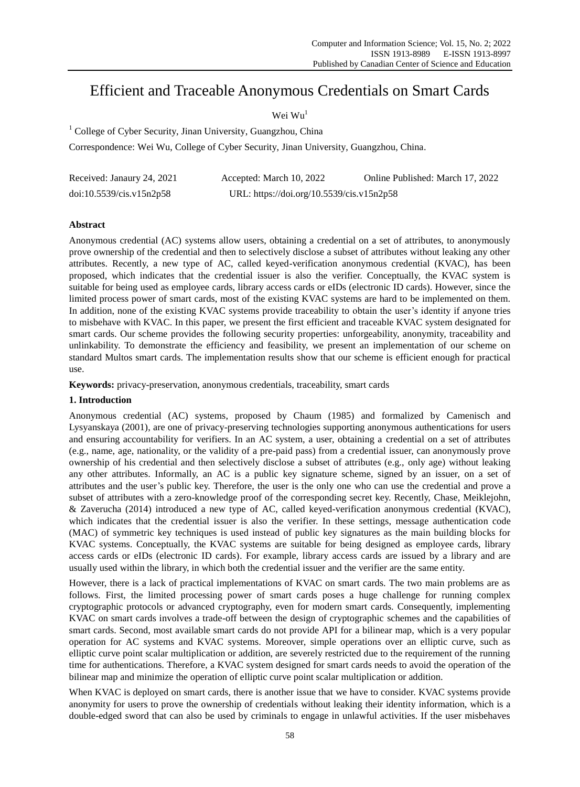# Efficient and Traceable Anonymous Credentials on Smart Cards

Wei Wu<sup>1</sup>

<sup>1</sup> College of Cyber Security, Jinan University, Guangzhou, China

Correspondence: Wei Wu, College of Cyber Security, Jinan University, Guangzhou, China.

| Received: Janaury 24, 2021 | Accepted: March 10, 2022                  | Online Published: March 17, 2022 |
|----------------------------|-------------------------------------------|----------------------------------|
| doi:10.5539/cis.v15n2p58   | URL: https://doi.org/10.5539/cis.v15n2p58 |                                  |

## **Abstract**

Anonymous credential (AC) systems allow users, obtaining a credential on a set of attributes, to anonymously prove ownership of the credential and then to selectively disclose a subset of attributes without leaking any other attributes. Recently, a new type of AC, called keyed-verification anonymous credential (KVAC), has been proposed, which indicates that the credential issuer is also the verifier. Conceptually, the KVAC system is suitable for being used as employee cards, library access cards or eIDs (electronic ID cards). However, since the limited process power of smart cards, most of the existing KVAC systems are hard to be implemented on them. In addition, none of the existing KVAC systems provide traceability to obtain the user's identity if anyone tries to misbehave with KVAC. In this paper, we present the first efficient and traceable KVAC system designated for smart cards. Our scheme provides the following security properties: unforgeability, anonymity, traceability and unlinkability. To demonstrate the efficiency and feasibility, we present an implementation of our scheme on standard Multos smart cards. The implementation results show that our scheme is efficient enough for practical use.

**Keywords:** privacy-preservation, anonymous credentials, traceability, smart cards

## **1. Introduction**

Anonymous credential (AC) systems, proposed by Chaum (1985) and formalized by Camenisch and Lysyanskaya (2001), are one of privacy-preserving technologies supporting anonymous authentications for users and ensuring accountability for verifiers. In an AC system, a user, obtaining a credential on a set of attributes (e.g., name, age, nationality, or the validity of a pre-paid pass) from a credential issuer, can anonymously prove ownership of his credential and then selectively disclose a subset of attributes (e.g., only age) without leaking any other attributes. Informally, an AC is a public key signature scheme, signed by an issuer, on a set of attributes and the user's public key. Therefore, the user is the only one who can use the credential and prove a subset of attributes with a zero-knowledge proof of the corresponding secret key. Recently, Chase, Meiklejohn, & Zaverucha (2014) introduced a new type of AC, called keyed-verification anonymous credential (KVAC), which indicates that the credential issuer is also the verifier. In these settings, message authentication code (MAC) of symmetric key techniques is used instead of public key signatures as the main building blocks for KVAC systems. Conceptually, the KVAC systems are suitable for being designed as employee cards, library access cards or eIDs (electronic ID cards). For example, library access cards are issued by a library and are usually used within the library, in which both the credential issuer and the verifier are the same entity.

However, there is a lack of practical implementations of KVAC on smart cards. The two main problems are as follows. First, the limited processing power of smart cards poses a huge challenge for running complex cryptographic protocols or advanced cryptography, even for modern smart cards. Consequently, implementing KVAC on smart cards involves a trade-off between the design of cryptographic schemes and the capabilities of smart cards. Second, most available smart cards do not provide API for a bilinear map, which is a very popular operation for AC systems and KVAC systems. Moreover, simple operations over an elliptic curve, such as elliptic curve point scalar multiplication or addition, are severely restricted due to the requirement of the running time for authentications. Therefore, a KVAC system designed for smart cards needs to avoid the operation of the bilinear map and minimize the operation of elliptic curve point scalar multiplication or addition.

When KVAC is deployed on smart cards, there is another issue that we have to consider. KVAC systems provide anonymity for users to prove the ownership of credentials without leaking their identity information, which is a double-edged sword that can also be used by criminals to engage in unlawful activities. If the user misbehaves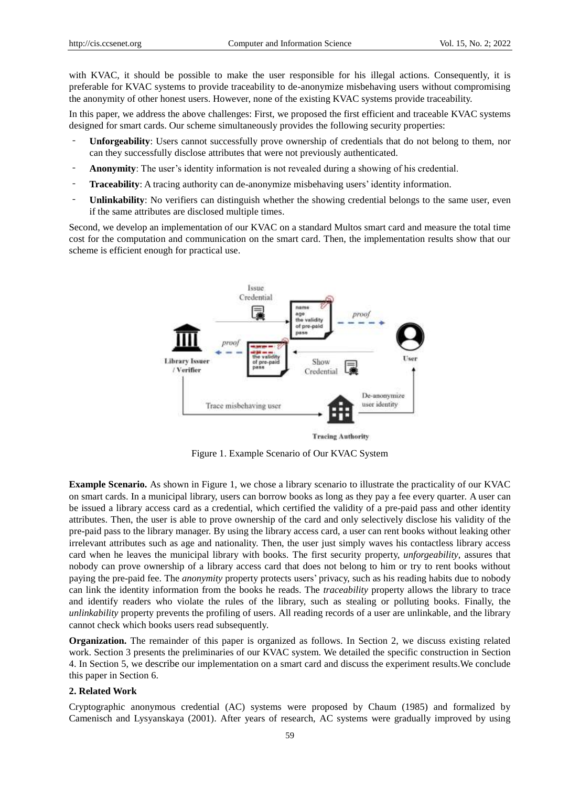with KVAC, it should be possible to make the user responsible for his illegal actions. Consequently, it is preferable for KVAC systems to provide traceability to de-anonymize misbehaving users without compromising the anonymity of other honest users. However, none of the existing KVAC systems provide traceability.

In this paper, we address the above challenges: First, we proposed the first efficient and traceable KVAC systems designed for smart cards. Our scheme simultaneously provides the following security properties:

- ‐ **Unforgeability**: Users cannot successfully prove ownership of credentials that do not belong to them, nor can they successfully disclose attributes that were not previously authenticated.
- ‐ **Anonymity**: The user's identity information is not revealed during a showing of his credential.
- ‐ **Traceability**: A tracing authority can de-anonymize misbehaving users' identity information.
- ‐ **Unlinkability**: No verifiers can distinguish whether the showing credential belongs to the same user, even if the same attributes are disclosed multiple times.

Second, we develop an implementation of our KVAC on a standard Multos smart card and measure the total time cost for the computation and communication on the smart card. Then, the implementation results show that our scheme is efficient enough for practical use.



**Tracing Authority** 

Figure 1. Example Scenario of Our KVAC System

**Example Scenario.** As shown in Figure 1, we chose a library scenario to illustrate the practicality of our KVAC on smart cards. In a municipal library, users can borrow books as long as they pay a fee every quarter. A user can be issued a library access card as a credential, which certified the validity of a pre-paid pass and other identity attributes. Then, the user is able to prove ownership of the card and only selectively disclose his validity of the pre-paid pass to the library manager. By using the library access card, a user can rent books without leaking other irrelevant attributes such as age and nationality. Then, the user just simply waves his contactless library access card when he leaves the municipal library with books. The first security property, *unforgeability*, assures that nobody can prove ownership of a library access card that does not belong to him or try to rent books without paying the pre-paid fee. The *anonymity* property protects users' privacy, such as his reading habits due to nobody can link the identity information from the books he reads. The *traceability* property allows the library to trace and identify readers who violate the rules of the library, such as stealing or polluting books. Finally, the *unlinkability* property prevents the profiling of users. All reading records of a user are unlinkable, and the library cannot check which books users read subsequently.

**Organization.** The remainder of this paper is organized as follows. In Section 2, we discuss existing related work. Section 3 presents the preliminaries of our KVAC system. We detailed the specific construction in Section 4. In Section 5, we describe our implementation on a smart card and discuss the experiment results.We conclude this paper in Section 6.

#### **2. Related Work**

Cryptographic anonymous credential (AC) systems were proposed by Chaum (1985) and formalized by Camenisch and Lysyanskaya (2001). After years of research, AC systems were gradually improved by using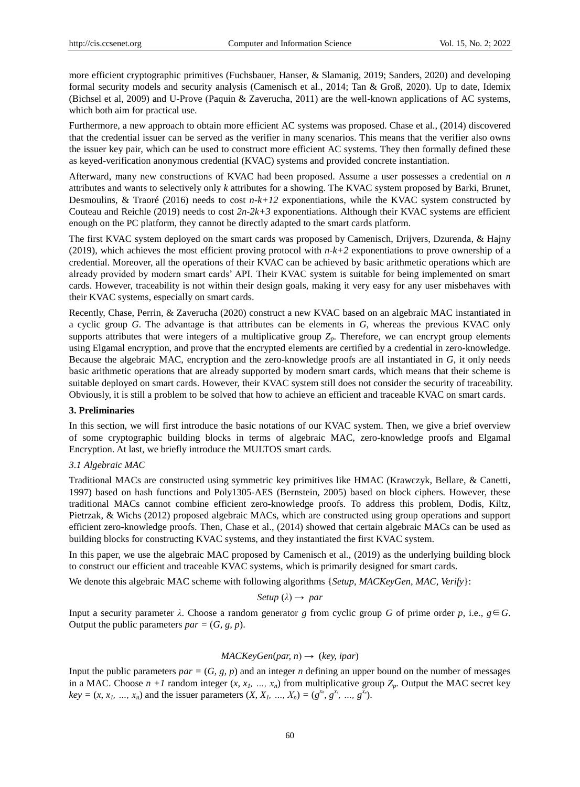more efficient cryptographic primitives (Fuchsbauer, Hanser, & Slamanig, 2019; Sanders, 2020) and developing formal security models and security analysis (Camenisch et al., 2014; Tan & Groß, 2020). Up to date, Idemix (Bichsel et al, 2009) and U-Prove (Paquin & Zaverucha, 2011) are the well-known applications of AC systems, which both aim for practical use.

Furthermore, a new approach to obtain more efficient AC systems was proposed. Chase et al., (2014) discovered that the credential issuer can be served as the verifier in many scenarios. This means that the verifier also owns the issuer key pair, which can be used to construct more efficient AC systems. They then formally defined these as keyed-verification anonymous credential (KVAC) systems and provided concrete instantiation.

Afterward, many new constructions of KVAC had been proposed. Assume a user possesses a credential on *n* attributes and wants to selectively only *k* attributes for a showing. The KVAC system proposed by Barki, Brunet, Desmoulins,  $\&$  Traor  $\acute{\text{e}}$  (2016) needs to cost  $n-k+12$  exponentiations, while the KVAC system constructed by Couteau and Reichle (2019) needs to cost  $2n-2k+3$  exponentiations. Although their KVAC systems are efficient enough on the PC platform, they cannot be directly adapted to the smart cards platform.

The first KVAC system deployed on the smart cards was proposed by Camenisch, Drijvers, Dzurenda, & Hajny (2019), which achieves the most efficient proving protocol with *n-k+2* exponentiations to prove ownership of a credential. Moreover, all the operations of their KVAC can be achieved by basic arithmetic operations which are already provided by modern smart cards' API. Their KVAC system is suitable for being implemented on smart cards. However, traceability is not within their design goals, making it very easy for any user misbehaves with their KVAC systems, especially on smart cards.

Recently, Chase, Perrin, & Zaverucha (2020) construct a new KVAC based on an algebraic MAC instantiated in a cyclic group *G*. The advantage is that attributes can be elements in *G*, whereas the previous KVAC only supports attributes that were integers of a multiplicative group *Zp*. Therefore, we can encrypt group elements using Elgamal encryption, and prove that the encrypted elements are certified by a credential in zero-knowledge. Because the algebraic MAC, encryption and the zero-knowledge proofs are all instantiated in *G*, it only needs basic arithmetic operations that are already supported by modern smart cards, which means that their scheme is suitable deployed on smart cards. However, their KVAC system still does not consider the security of traceability. Obviously, it is still a problem to be solved that how to achieve an efficient and traceable KVAC on smart cards.

#### **3. Preliminaries**

In this section, we will first introduce the basic notations of our KVAC system. Then, we give a brief overview of some cryptographic building blocks in terms of algebraic MAC, zero-knowledge proofs and Elgamal Encryption. At last, we briefly introduce the MULTOS smart cards.

## *3.1 Algebraic MAC*

Traditional MACs are constructed using symmetric key primitives like HMAC (Krawczyk, Bellare, & Canetti, 1997) based on hash functions and Poly1305-AES (Bernstein, 2005) based on block ciphers. However, these traditional MACs cannot combine efficient zero-knowledge proofs. To address this problem, Dodis, Kiltz, Pietrzak, & Wichs (2012) proposed algebraic MACs, which are constructed using group operations and support efficient zero-knowledge proofs. Then, Chase et al., (2014) showed that certain algebraic MACs can be used as building blocks for constructing KVAC systems, and they instantiated the first KVAC system.

In this paper, we use the algebraic MAC proposed by Camenisch et al., (2019) as the underlying building block to construct our efficient and traceable KVAC systems, which is primarily designed for smart cards.

We denote this algebraic MAC scheme with following algorithms {*Setup*, *MACKeyGen, MAC, Verify*}:

#### *Setup*  $(\lambda) \rightarrow par$

Input a security parameter *λ*. Choose a random generator *g* from cyclic group *G* of prime order *p*, i.e., *g*∈*G*. Output the public parameters  $par = (G, g, p)$ .

## *MACKeyGen*(*par, n*) → (*key, ipar*)

Input the public parameters  $par = (G, g, p)$  and an integer *n* defining an upper bound on the number of messages in a MAC. Choose  $n + 1$  random integer  $(x, x_1, ..., x_n)$  from multiplicative group  $Z_p$ . Output the MAC secret key  $key = (x, x_1, ..., x_n)$  and the issuer parameters  $(X, X_1, ..., X_n) = (g^{x_0}, g^{x_1}, ..., g^{x_n})$ .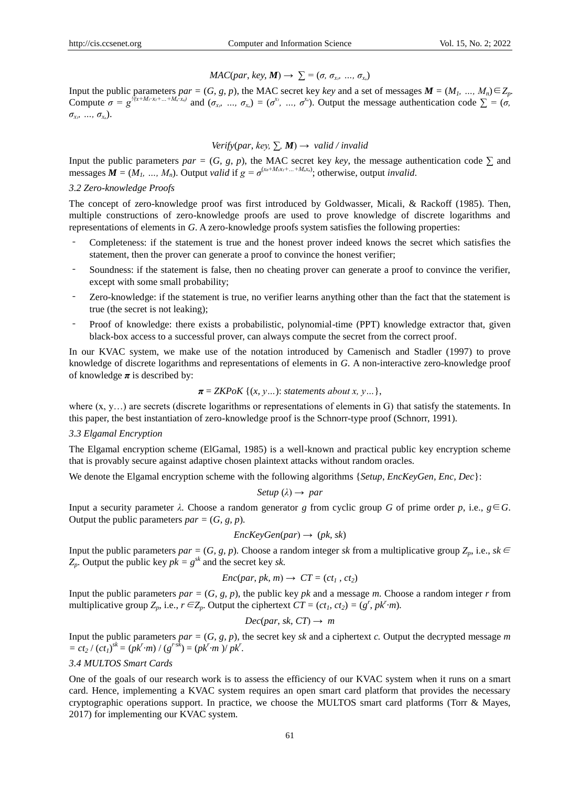## $MAC(par, key, M) \rightarrow \sum_{i}^{\infty} = (\sigma, \sigma_{x_i}, ..., \sigma_{x_i})$

Input the public parameters  $par = (G, g, p)$ , the MAC secret key *key* and a set of messages  $M = (M_1, ..., M_n) \in Z_p$ . Compute  $\sigma = g^{\frac{1}{\langle (x+M_f(x_f+...+M_n, x_n))}$  and  $(\sigma_{x_f}, ..., \sigma_{x_n}) = (\sigma^{x_f}, ..., \sigma^{x_n})$ . Output the message authentication code  $\Sigma = (\sigma, \sigma^{x_f}, ..., \sigma^{x_n})$ *σx₁, …, σxₙ*).

#### *Verify*(*par*, *key*,  $\sum$ , *M*)  $\rightarrow$  *valid / invalid*

Input the public parameters  $par = (G, g, p)$ , the MAC secret key *key*, the message authentication code  $\Sigma$  and messages  $M = (M_1, ..., M_n)$ . Output *valid* if  $g = \sigma^{(x_0 + M_1x_1 + ... + M_nx_n)}$ ; otherwise, output *invalid*.

#### *3.2 Zero-knowledge Proofs*

The concept of zero-knowledge proof was first introduced by Goldwasser, Micali, & Rackoff (1985). Then, multiple constructions of zero-knowledge proofs are used to prove knowledge of discrete logarithms and representations of elements in *G*. A zero-knowledge proofs system satisfies the following properties:

- ‐ Completeness: if the statement is true and the honest prover indeed knows the secret which satisfies the statement, then the prover can generate a proof to convince the honest verifier;
- ‐ Soundness: if the statement is false, then no cheating prover can generate a proof to convince the verifier, except with some small probability;
- ‐ Zero-knowledge: if the statement is true, no verifier learns anything other than the fact that the statement is true (the secret is not leaking);
- ‐ Proof of knowledge: there exists a probabilistic, polynomial-time (PPT) knowledge extractor that, given black-box access to a successful prover, can always compute the secret from the correct proof.

In our KVAC system, we make use of the notation introduced by Camenisch and Stadler (1997) to prove knowledge of discrete logarithms and representations of elements in *G*. A non-interactive zero-knowledge proof of knowledge  $\pi$  is described by:

$$
\pi = ZKPoK \{(x, y...): statements about x, y... \},
$$

where  $(x, y, \ldots)$  are secrets (discrete logarithms or representations of elements in G) that satisfy the statements. In this paper, the best instantiation of zero-knowledge proof is the Schnorr-type proof (Schnorr, 1991).

#### *3.3 Elgamal Encryption*

The Elgamal encryption scheme (ElGamal, 1985) is a well-known and practical public key encryption scheme that is provably secure against adaptive chosen plaintext attacks without random oracles.

We denote the Elgamal encryption scheme with the following algorithms {*Setup*, *EncKeyGen, Enc, Dec*}:

$$
Setup\left(\lambda\right)\rightarrow\ par
$$

Input a security parameter *λ.* Choose a random generator *g* from cyclic group *G* of prime order *p*, i.e., *g*∈*G*. Output the public parameters  $par = (G, g, p)$ .

$$
EncKeyGen(par) \rightarrow (pk, sk)
$$

Input the public parameters  $par = (G, g, p)$ . Choose a random integer *sk* from a multiplicative group  $Z_p$ , i.e.,  $sk \in$  $Z_p$ . Output the public key  $pk = g^{sk}$  and the secret key *sk*.

$$
Enc(par, pk, m) \rightarrow CT = (ct_1, ct_2)
$$

Input the public parameters  $par = (G, g, p)$ , the public key  $pk$  and a message  $m$ . Choose a random integer  $r$  from multiplicative group  $Z_p$ , i.e.,  $r \in Z_p$ . Output the ciphertext  $CT = (ct_1, ct_2) = (g^r, pk^r m)$ .

 $Dec(par, sk, CT) \rightarrow m$ 

Input the public parameters  $par = (G, g, p)$ , the secret key *sk* and a ciphertext *c*. Output the decrypted message *m*  $= ct_2 / (ct_1)^{sk} = (pk^r m) / (g^{rsk}) = (pk^r m) / pk^r.$ 

### *3.4 MULTOS Smart Cards*

One of the goals of our research work is to assess the efficiency of our KVAC system when it runs on a smart card. Hence, implementing a KVAC system requires an open smart card platform that provides the necessary cryptographic operations support. In practice, we choose the MULTOS smart card platforms (Torr & Mayes, 2017) for implementing our KVAC system.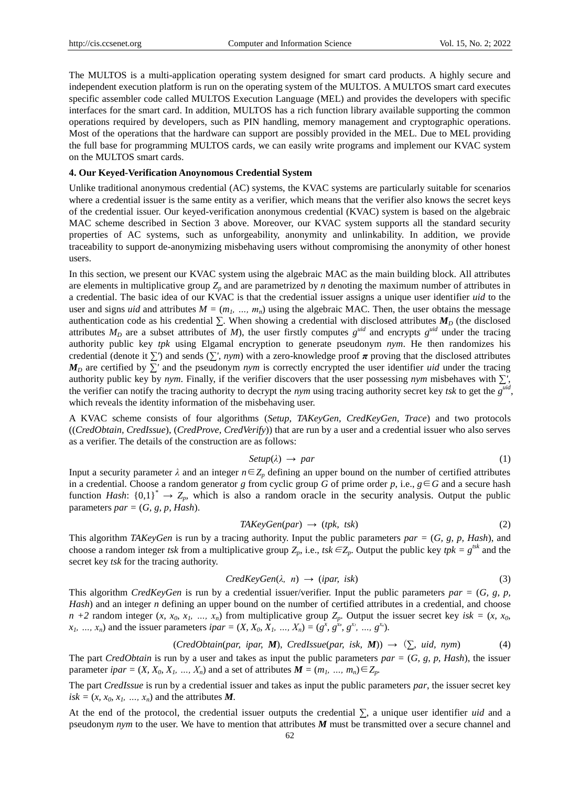The MULTOS is a multi-application operating system designed for smart card products. A highly secure and independent execution platform is run on the operating system of the MULTOS. A MULTOS smart card executes specific assembler code called MULTOS Execution Language (MEL) and provides the developers with specific interfaces for the smart card. In addition, MULTOS has a rich function library available supporting the common operations required by developers, such as PIN handling, memory management and cryptographic operations. Most of the operations that the hardware can support are possibly provided in the MEL. Due to MEL providing the full base for programming MULTOS cards, we can easily write programs and implement our KVAC system on the MULTOS smart cards.

#### **4. Our Keyed-Verification Anoynomous Credential System**

Unlike traditional anonymous credential (AC) systems, the KVAC systems are particularly suitable for scenarios where a credential issuer is the same entity as a verifier, which means that the verifier also knows the secret keys of the credential issuer. Our keyed-verification anonymous credential (KVAC) system is based on the algebraic MAC scheme described in Section 3 above. Moreover, our KVAC system supports all the standard security properties of AC systems, such as unforgeability, anonymity and unlinkability. In addition, we provide traceability to support de-anonymizing misbehaving users without compromising the anonymity of other honest users.

In this section, we present our KVAC system using the algebraic MAC as the main building block. All attributes are elements in multiplicative group *Z<sup>p</sup>* and are parametrized by *n* denoting the maximum number of attributes in a credential. The basic idea of our KVAC is that the credential issuer assigns a unique user identifier *uid* to the user and signs *uid* and attributes  $M = (m_1, ..., m_n)$  using the algebraic MAC. Then, the user obtains the message authentication code as his credential  $\Sigma$ . When showing a credential with disclosed attributes  $M_D$  (the disclosed attributes  $M_D$  are a subset attributes of  $M$ ), the user firstly computes  $g^{uid}$  and encrypts  $g^{uid}$  under the tracing authority public key *tpk* using Elgamal encryption to generate pseudonym *nym*. He then randomizes his credential (denote it *∑'*) and sends (*∑', nym*) with a zero-knowledge proof *π* proving that the disclosed attributes *M<sub>D</sub>* are certified by ∑' and the pseudonym *nym* is correctly encrypted the user identifier *uid* under the tracing authority public key by *nym*. Finally, if the verifier discovers that the user possessing *nym* misbehaves with *∑'*, the verifier can notify the tracing authority to decrypt the *nym* using tracing authority secret key *tsk* to get the  $g^{\text{uid}}$ , which reveals the identity information of the misbehaving user.

A KVAC scheme consists of four algorithms (*Setup, TAKeyGen, CredKeyGen, Trace*) and two protocols ((*CredObtain, CredIssue*), (*CredProve, CredVerify*)) that are run by a user and a credential issuer who also serves as a verifier. The details of the construction are as follows:

$$
Setup(\lambda) \rightarrow par \tag{1}
$$

Input a security parameter  $\lambda$  and an integer  $n \in \mathbb{Z}_p$  defining an upper bound on the number of certified attributes in a credential. Choose a random generator *g* from cyclic group *G* of prime order *p*, i.e.,  $g \in G$  and a secure hash function *Hash*:  ${0,1}^* \rightarrow Z_p$ *,* which is also a random oracle in the security analysis. Output the public parameters  $par = (G, g, p, Hash)$ .

$$
TAKeyGen(par) \rightarrow (tpk, tsk)
$$
\n
$$
(2)
$$

This algorithm *TAKeyGen* is run by a tracing authority. Input the public parameters *par =* (*G, g, p, Hash*), and choose a random integer *tsk* from a multiplicative group  $Z_p$ , i.e., *tsk* ∈ $Z_p$ . Output the public key *tpk* =  $g^{tsk}$  and the secret key *tsk* for the tracing authority.

$$
CredKeyGen(\lambda, n) \rightarrow (ipar, isk)
$$
\n(3)

This algorithm *CredKeyGen* is run by a credential issuer/verifier. Input the public parameters *par =* (*G, g, p, Hash*) and an integer *n* defining an upper bound on the number of certified attributes in a credential, and choose  $n + 2$  random integer  $(x, x_0, x_1, ..., x_n)$  from multiplicative group  $Z_p$ . Output the issuer secret key isk =  $(x, x_0, x_1, ..., x_n)$  $x_1, ..., x_n$ ) and the issuer parameters  $ipar = (X, X_0, X_1, ..., X_n) = (g^x, g^{x_0}, g^{x_1}, ..., g^{x_n})$ .

$$
(CredObtain(par, ipar, M), CredIssue(par, isk, M)) \rightarrow (\sum \text{uid}, nym)
$$
 (4)

The part *CredObtain* is run by a user and takes as input the public parameters *par =* (*G, g, p, Hash*), the issuer parameter *ipar* =  $(X, X_0, X_1, ..., X_n)$  and a set of attributes  $M = (m_1, ..., m_n) \in Z_p$ .

The part *CredIssue* is run by a credential issuer and takes as input the public parameters *par*, the issuer secret key  $isk = (x, x_0, x_1, \ldots, x_n)$  and the attributes *M.* 

At the end of the protocol, the credential issuer outputs the credential *∑*, a unique user identifier *uid* and a pseudonym *nym* to the user. We have to mention that attributes *M* must be transmitted over a secure channel and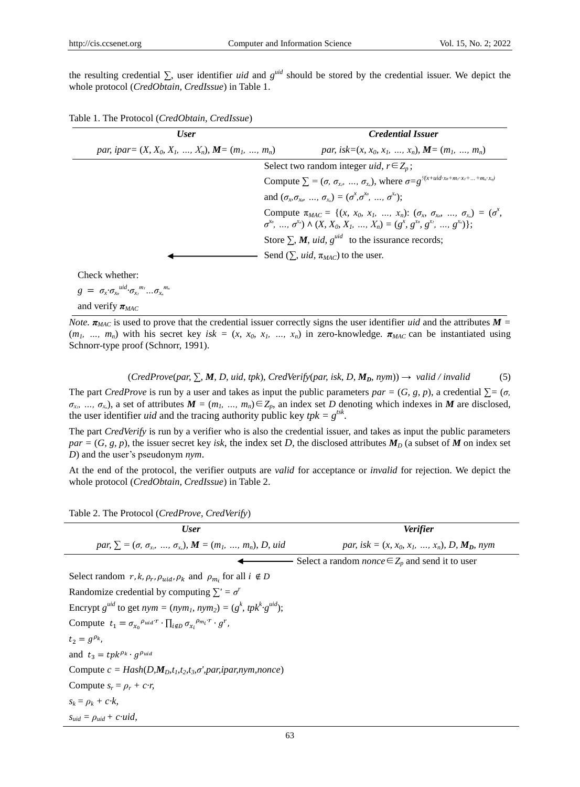the resulting credential *∑*, user identifier *uid* and *g uid* should be stored by the credential issuer. We depict the whole protocol (*CredObtain, CredIssue*) in Table 1.

| Table 1. The Protocol (CredObtain, CredIssue) |  |  |
|-----------------------------------------------|--|--|
|-----------------------------------------------|--|--|

| par, isk= $(x, x_0, x_1, , x_n)$ , $M = (m_1, , m_n)$<br>par, ipar= $(X, X_0, X_1, , X_n)$ , $M = (m_1, , m_n)$<br>Select two random integer <i>uid</i> , $r \in Z_p$ ;<br>Compute $\sum$ = $(\sigma, \sigma_{x}, \ldots, \sigma_{x})$ , where $\sigma = g^{\frac{1}{x} + u d x_0 + m_1 x_1 + \ldots + m_n x_n}$<br>and $(\sigma_{\rm r}, \sigma_{\rm r}$ , $\ldots$ , $\sigma_{\rm r}$ ) = $(\sigma^x, \sigma^{x_0}, \ldots, \sigma^{x_n})$ ;<br>Compute $\pi_{MAC} = \{(x, x_0, x_1, , x_n): (\sigma_x, \sigma_{x_0}, , \sigma_{x_n}) = (\sigma^x,$<br>$\sigma^{x_0}, \ldots, \sigma^{x_n} \wedge (X, X_0, X_1, \ldots, X_n) = (g^x, g^{x_0}, g^{x_1}, \ldots, g^{x_n})$ ;<br>Store $\sum_{i} M$ , <i>uid</i> , $g^{uid}$ to the issurance records; | <b>User</b> | <b>Credential Issuer</b> |
|-------------------------------------------------------------------------------------------------------------------------------------------------------------------------------------------------------------------------------------------------------------------------------------------------------------------------------------------------------------------------------------------------------------------------------------------------------------------------------------------------------------------------------------------------------------------------------------------------------------------------------------------------------------------------------------------------------------------------------------------------------|-------------|--------------------------|
|                                                                                                                                                                                                                                                                                                                                                                                                                                                                                                                                                                                                                                                                                                                                                       |             |                          |
|                                                                                                                                                                                                                                                                                                                                                                                                                                                                                                                                                                                                                                                                                                                                                       |             |                          |
|                                                                                                                                                                                                                                                                                                                                                                                                                                                                                                                                                                                                                                                                                                                                                       |             |                          |
|                                                                                                                                                                                                                                                                                                                                                                                                                                                                                                                                                                                                                                                                                                                                                       |             |                          |
|                                                                                                                                                                                                                                                                                                                                                                                                                                                                                                                                                                                                                                                                                                                                                       |             |                          |
|                                                                                                                                                                                                                                                                                                                                                                                                                                                                                                                                                                                                                                                                                                                                                       |             |                          |
| Send $(\sum$ , <i>uid</i> , $\pi_{MAC}$ ) to the user.                                                                                                                                                                                                                                                                                                                                                                                                                                                                                                                                                                                                                                                                                                |             |                          |

Check whether:

 $g = \sigma_x \sigma_{x_0}^{uid} \sigma_{x_1}^{m_1} ... \sigma_{x_n}^{m_n}$ 

and verify  $\pi_{MAC}$ 

*Note.*  $\pi_{MAC}$  is used to prove that the credential issuer correctly signs the user identifier *uid* and the attributes  $M =$  $(m_1, ..., m_n)$  with his secret key *isk* =  $(x, x_0, x_1, ..., x_n)$  in zero-knowledge.  $\pi_{MAC}$  can be instantiated using Schnorr-type proof (Schnorr, 1991).

(*CredProve*(*par, ∑, M, D, uid, tpk*), *CredVerify*(*par, isk, D, MD, nym*)) → *valid / invalid* (5)

The part *CredProve* is run by a user and takes as input the public parameters  $par = (G, g, p)$ , a credential  $\Sigma = (\sigma, g, \sigma)$  $\sigma_{x_i}$ , …,  $\sigma_{x_n}$ ), a set of attributes  $M = (m_1, ..., m_n) \in Z_p$ , an index set *D* denoting which indexes in *M* are disclosed, the user identifier *uid* and the tracing authority public key  $tpk = g^{tsk}$ .

The part *CredVerify* is run by a verifier who is also the credential issuer, and takes as input the public parameters  $par = (G, g, p)$ , the issuer secret key *isk*, the index set *D*, the disclosed attributes  $M<sub>D</sub>$  (a subset of *M* on index set *D*) and the user's pseudonym *nym*.

At the end of the protocol, the verifier outputs are *valid* for acceptance or *invalid* for rejection. We depict the whole protocol (*CredObtain, CredIssue*) in Table 2.

| <b>User</b>                                                                                                  | <b>Verifier</b>                                            |  |  |
|--------------------------------------------------------------------------------------------------------------|------------------------------------------------------------|--|--|
| par, $\Sigma = (\sigma, \sigma_{x_0}, , \sigma_{x_n})$ , $M = (m_1, , m_n)$ , D, uid                         | par, isk = $(x, x_0, x_1, , x_n)$ , D, $M_D$ , nym         |  |  |
|                                                                                                              | Select a random <i>nonce</i> $\in Z_p$ and send it to user |  |  |
| Select random $r, k, \rho_r, \rho_{uid}, \rho_k$ and $\rho_{m_i}$ for all $i \notin D$                       |                                                            |  |  |
| Randomize credential by computing $\sum' = \sigma'$                                                          |                                                            |  |  |
| Encrypt $g^{uid}$ to get $nym = (nym_l, nym_2) = (g^k, tpk^k g^{uid});$                                      |                                                            |  |  |
| Compute $t_1 = \sigma_{x_0}^{\rho_{uid} r} \cdot \prod_{i \notin D} \sigma_{x_i}^{\rho_{m_i} r} \cdot g^r$ , |                                                            |  |  |
| $t_2 = g^{\rho_k}$                                                                                           |                                                            |  |  |
| and $t_3 = tpk^{\rho_k} \cdot g^{\rho_{uid}}$                                                                |                                                            |  |  |
| Compute $c = Hash(D, M_D, t_1, t_2, t_3, \sigma', par, ipar, nym, nonce)$                                    |                                                            |  |  |
| Compute $s_r = \rho_r + c r$ ,                                                                               |                                                            |  |  |
| $s_k = \rho_k + c k$                                                                                         |                                                            |  |  |
| $s_{uid} = \rho_{uid} + c \text{ uid},$                                                                      |                                                            |  |  |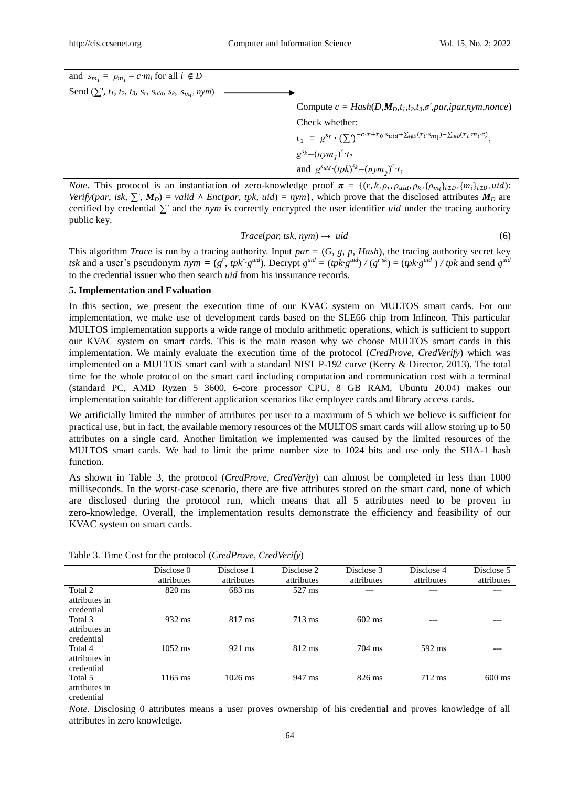and  $s_{m_i} = \rho_{m_i} - c \, m_i$  for all  $i \notin D$  $\text{Send } (\sum' , t_1, t_2, t_3, s_r, s_{uid}, s_k, s_{m_i}, nym)$ Compute  $c = Hash(D, M_D, t_1, t_2, t_3, \sigma', par, ipar, nym, nonce)$ Check whether:  $t_1 = g^{s_r} \cdot (\sum \int)^{-c \cdot x + x_0 \cdot s_{uid} + \sum_{i \notin D} (x_i \cdot s_{m_i}) - \sum_{i \in D} (x_i \cdot m_i \cdot c)},$  $g^{s_k} = (nym_l)^c \cdot t_2$ and  $g^{s_{uid}} (tpk)^{s_k} = (nym_2)^c \cdot t_3$ 

*Note.* This protocol is an instantiation of zero-knowledge proof  $\pi = \{(r, k, \rho_r, \rho_{uid}, \rho_k, \{\rho_{m_i}\}_{i \notin D}, \{m_i\}_{i \notin D}, uid)\}$ *Verify*(*par*, *isk*,  $\sum$ *'*,  $M_D$ ) = *valid*  $\land$  *Enc*(*par*, *tpk, uid*) = *nym*}, which prove that the disclosed attributes  $M_D$  are certified by credential *∑'* and the *nym* is correctly encrypted the user identifier *uid* under the tracing authority public key.

$$
Trace(par, tsk, nym) \to \text{uid}
$$
\n<sup>(6)</sup>

This algorithm *Trace* is run by a tracing authority. Input *par =* (*G, g, p, Hash*), the tracing authority secret key tsk and a user's pseudonym  $nym = (g^r, tpk^r g^{uid})$ . Decrypt  $g^{uid} = (tpk g^{uid})/(g^{rsk}) = (tpk g^{uid})/tpk$  and send  $g^{uid}$ to the credential issuer who then search *uid* from his inssurance records.

#### **5. Implementation and Evaluation**

In this section, we present the execution time of our KVAC system on MULTOS smart cards. For our implementation, we make use of development cards based on the SLE66 chip from Infineon. This particular MULTOS implementation supports a wide range of modulo arithmetic operations, which is sufficient to support our KVAC system on smart cards. This is the main reason why we choose MULTOS smart cards in this implementation. We mainly evaluate the execution time of the protocol (*CredProve, CredVerify*) which was implemented on a MULTOS smart card with a standard NIST P-192 curve (Kerry & Director, 2013). The total time for the whole protocol on the smart card including computation and communication cost with a terminal (standard PC, AMD Ryzen 5 3600, 6-core processor CPU, 8 GB RAM, Ubuntu 20.04) makes our implementation suitable for different application scenarios like employee cards and library access cards.

We artificially limited the number of attributes per user to a maximum of 5 which we believe is sufficient for practical use, but in fact, the available memory resources of the MULTOS smart cards will allow storing up to 50 attributes on a single card. Another limitation we implemented was caused by the limited resources of the MULTOS smart cards. We had to limit the prime number size to 1024 bits and use only the SHA-1 hash function.

As shown in Table 3, the protocol (*CredProve, CredVerify*) can almost be completed in less than 1000 milliseconds. In the worst-case scenario, there are five attributes stored on the smart card, none of which are disclosed during the protocol run, which means that all 5 attributes need to be proven in zero-knowledge. Overall, the implementation results demonstrate the efficiency and feasibility of our KVAC system on smart cards.

|                                        | Disclose 0<br>attributes | Disclose 1<br>attributes | Disclose 2<br>attributes | Disclose 3<br>attributes | Disclose 4<br>attributes | Disclose 5<br>attributes |
|----------------------------------------|--------------------------|--------------------------|--------------------------|--------------------------|--------------------------|--------------------------|
| Total 2<br>attributes in<br>credential | 820 ms                   | 683 ms                   | 527 ms                   | ---                      | ---                      |                          |
| Total 3<br>attributes in<br>credential | 932 ms                   | $817 \text{ ms}$         | $713 \text{ ms}$         | $602$ ms                 | ---                      | ---                      |
| Total 4<br>attributes in<br>credential | $1052$ ms                | 921 ms                   | 812 ms                   | $704 \text{ ms}$         | 592 ms                   |                          |
| Total 5<br>attributes in<br>credential | $1165$ ms                | $1026$ ms                | 947 ms                   | $826 \text{ ms}$         | 712 ms                   | $600 \text{ ms}$         |

Table 3. Time Cost for the protocol (*CredProve, CredVerify*)

*Note.* Disclosing 0 attributes means a user proves ownership of his credential and proves knowledge of all attributes in zero knowledge.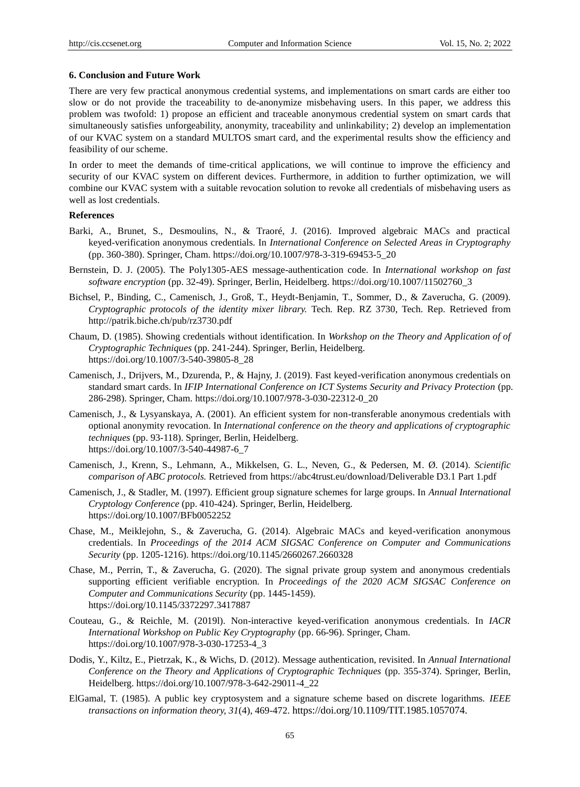#### **6. Conclusion and Future Work**

There are very few practical anonymous credential systems, and implementations on smart cards are either too slow or do not provide the traceability to de-anonymize misbehaving users. In this paper, we address this problem was twofold: 1) propose an efficient and traceable anonymous credential system on smart cards that simultaneously satisfies unforgeability, anonymity, traceability and unlinkability; 2) develop an implementation of our KVAC system on a standard MULTOS smart card, and the experimental results show the efficiency and feasibility of our scheme.

In order to meet the demands of time-critical applications, we will continue to improve the efficiency and security of our KVAC system on different devices. Furthermore, in addition to further optimization, we will combine our KVAC system with a suitable revocation solution to revoke all credentials of misbehaving users as well as lost credentials.

#### **References**

- Barki, A., Brunet, S., Desmoulins, N., & Traoré, J. (2016). Improved algebraic MACs and practical keyed-verification anonymous credentials. In *International Conference on Selected Areas in Cryptography*  (pp. 360-380). Springer, Cham. https://doi.org/10.1007/978-3-319-69453-5\_20
- Bernstein, D. J. (2005). The Poly1305-AES message-authentication code. In *International workshop on fast software encryption* (pp. 32-49). Springer, Berlin, Heidelberg. https://doi.org/10.1007/11502760\_3
- Bichsel, P., Binding, C., Camenisch, J., Groß, T., Heydt-Benjamin, T., Sommer, D., & Zaverucha, G. (2009). *Cryptographic protocols of the identity mixer library.* Tech. Rep. RZ 3730, Tech. Rep. Retrieved from http://patrik.biche.ch/pub/rz3730.pdf
- Chaum, D. (1985). Showing credentials without identification. In *Workshop on the Theory and Application of of Cryptographic Techniques* (pp. 241-244). Springer, Berlin, Heidelberg. https://doi.org/10.1007/3-540-39805-8\_28
- Camenisch, J., Drijvers, M., Dzurenda, P., & Hajny, J. (2019). Fast keyed-verification anonymous credentials on standard smart cards. In *IFIP International Conference on ICT Systems Security and Privacy Protection* (pp. 286-298). Springer, Cham. https://doi.org/10.1007/978-3-030-22312-0\_20
- Camenisch, J., & Lysyanskaya, A. (2001). An efficient system for non-transferable anonymous credentials with optional anonymity revocation. In *International conference on the theory and applications of cryptographic techniques* (pp. 93-118). Springer, Berlin, Heidelberg. https://doi.org/10.1007/3-540-44987-6\_7
- Camenisch, J., Krenn, S., Lehmann, A., Mikkelsen, G. L., Neven, G., & Pedersen, M. Ø. (2014). *Scientific comparison of ABC protocols.* Retrieved from https://abc4trust.eu/download/Deliverable D3.1 Part 1.pdf
- Camenisch, J., & Stadler, M. (1997). Efficient group signature schemes for large groups. In *Annual International Cryptology Conference* (pp. 410-424). Springer, Berlin, Heidelberg. https://doi.org/10.1007/BFb0052252
- Chase, M., Meiklejohn, S., & Zaverucha, G. (2014). Algebraic MACs and keyed-verification anonymous credentials. In *Proceedings of the 2014 ACM SIGSAC Conference on Computer and Communications Security* (pp. 1205-1216). https://doi.org/10.1145/2660267.2660328
- Chase, M., Perrin, T., & Zaverucha, G. (2020). The signal private group system and anonymous credentials supporting efficient verifiable encryption. In *Proceedings of the 2020 ACM SIGSAC Conference on Computer and Communications Security* (pp. 1445-1459). https://doi.org/10.1145/3372297.3417887
- Couteau, G., & Reichle, M. (2019l). Non-interactive keyed-verification anonymous credentials. In *IACR International Workshop on Public Key Cryptography* (pp. 66-96). Springer, Cham. https://doi.org/10.1007/978-3-030-17253-4\_3
- Dodis, Y., Kiltz, E., Pietrzak, K., & Wichs, D. (2012). Message authentication, revisited. In *Annual International Conference on the Theory and Applications of Cryptographic Techniques* (pp. 355-374). Springer, Berlin, Heidelberg. https://doi.org/10.1007/978-3-642-29011-4\_22
- ElGamal, T. (1985). A public key cryptosystem and a signature scheme based on discrete logarithms. *IEEE transactions on information theory, 31*(4), 469-472. https://doi.org/10.1109/TIT.1985.1057074.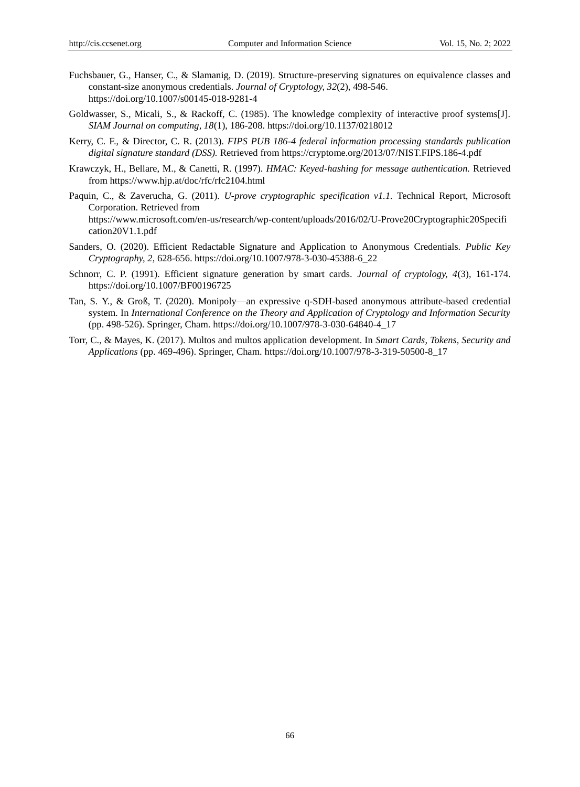- Fuchsbauer, G., Hanser, C., & Slamanig, D. (2019). Structure-preserving signatures on equivalence classes and constant-size anonymous credentials. *Journal of Cryptology, 32*(2), 498-546. https://doi.org/10.1007/s00145-018-9281-4
- Goldwasser, S., Micali, S., & Rackoff, C. (1985). The knowledge complexity of interactive proof systems[J]. *SIAM Journal on computing, 18*(1), 186-208. https://doi.org/10.1137/0218012
- Kerry, C. F., & Director, C. R. (2013). *FIPS PUB 186-4 federal information processing standards publication digital signature standard (DSS).* Retrieved from https://cryptome.org/2013/07/NIST.FIPS.186-4.pdf
- Krawczyk, H., Bellare, M., & Canetti, R. (1997). *HMAC: Keyed-hashing for message authentication.* Retrieved from https://www.hjp.at/doc/rfc/rfc2104.html
- Paquin, C., & Zaverucha, G. (2011). *U-prove cryptographic specification v1.1.* Technical Report, Microsoft Corporation. Retrieved from https://www.microsoft.com/en-us/research/wp-content/uploads/2016/02/U-Prove20Cryptographic20Specifi cation20V1.1.pdf
- Sanders, O. (2020). Efficient Redactable Signature and Application to Anonymous Credentials. *Public Key Cryptography, 2,* 628-656. https://doi.org/10.1007/978-3-030-45388-6\_22
- Schnorr, C. P. (1991). Efficient signature generation by smart cards. *Journal of cryptology, 4*(3), 161-174. https://doi.org/10.1007/BF00196725
- Tan, S. Y., & Groß, T. (2020). Monipoly—an expressive q-SDH-based anonymous attribute-based credential system. In *International Conference on the Theory and Application of Cryptology and Information Security*  (pp. 498-526). Springer, Cham. https://doi.org/10.1007/978-3-030-64840-4\_17
- Torr, C., & Mayes, K. (2017). Multos and multos application development. In *Smart Cards, Tokens, Security and Applications* (pp. 469-496). Springer, Cham. https://doi.org/10.1007/978-3-319-50500-8\_17